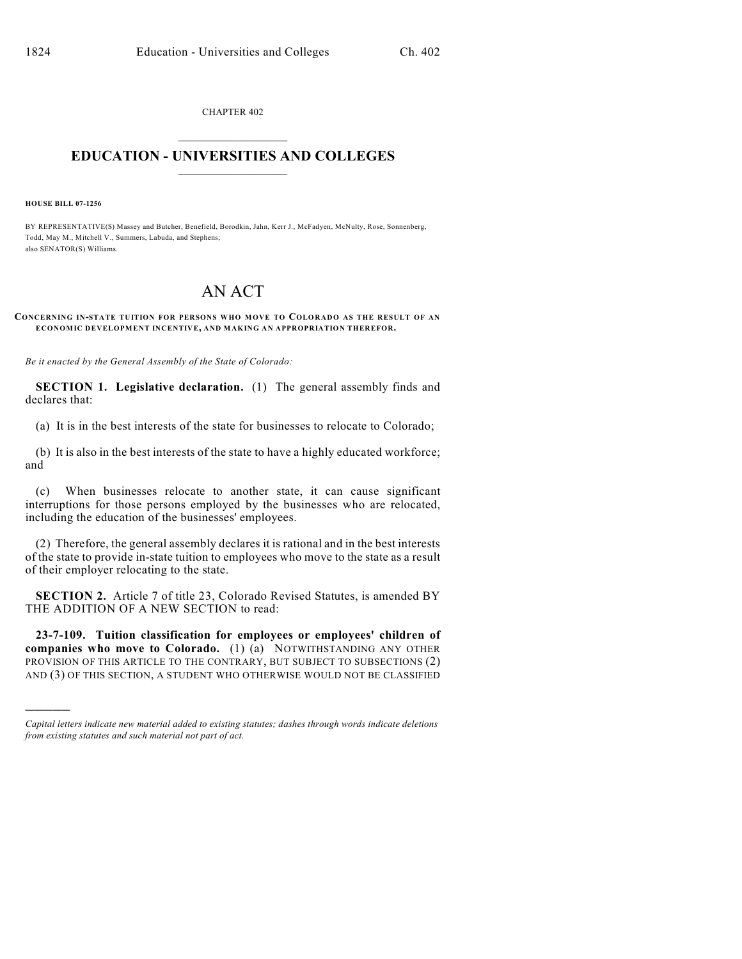CHAPTER 402  $\overline{\phantom{a}}$  . The set of the set of the set of the set of the set of the set of the set of the set of the set of the set of the set of the set of the set of the set of the set of the set of the set of the set of the set o

## **EDUCATION - UNIVERSITIES AND COLLEGES**  $\_$

**HOUSE BILL 07-1256**

)))))

BY REPRESENTATIVE(S) Massey and Butcher, Benefield, Borodkin, Jahn, Kerr J., McFadyen, McNulty, Rose, Sonnenberg, Todd, May M., Mitchell V., Summers, Labuda, and Stephens; also SENATOR(S) Williams.

## AN ACT

## **CONCERNING IN-STATE TUITION FOR PERSONS WHO MOVE TO COLORADO AS THE RESULT OF AN ECONOMIC DEVELOPMENT INCENTIVE, AND MAKING AN APPROPRIATION THEREFOR.**

*Be it enacted by the General Assembly of the State of Colorado:*

**SECTION 1. Legislative declaration.** (1) The general assembly finds and declares that:

(a) It is in the best interests of the state for businesses to relocate to Colorado;

(b) It is also in the best interests of the state to have a highly educated workforce; and

(c) When businesses relocate to another state, it can cause significant interruptions for those persons employed by the businesses who are relocated, including the education of the businesses' employees.

(2) Therefore, the general assembly declares it is rational and in the best interests of the state to provide in-state tuition to employees who move to the state as a result of their employer relocating to the state.

**SECTION 2.** Article 7 of title 23, Colorado Revised Statutes, is amended BY THE ADDITION OF A NEW SECTION to read:

**23-7-109. Tuition classification for employees or employees' children of companies who move to Colorado.** (1) (a) NOTWITHSTANDING ANY OTHER PROVISION OF THIS ARTICLE TO THE CONTRARY, BUT SUBJECT TO SUBSECTIONS (2) AND (3) OF THIS SECTION, A STUDENT WHO OTHERWISE WOULD NOT BE CLASSIFIED

*Capital letters indicate new material added to existing statutes; dashes through words indicate deletions from existing statutes and such material not part of act.*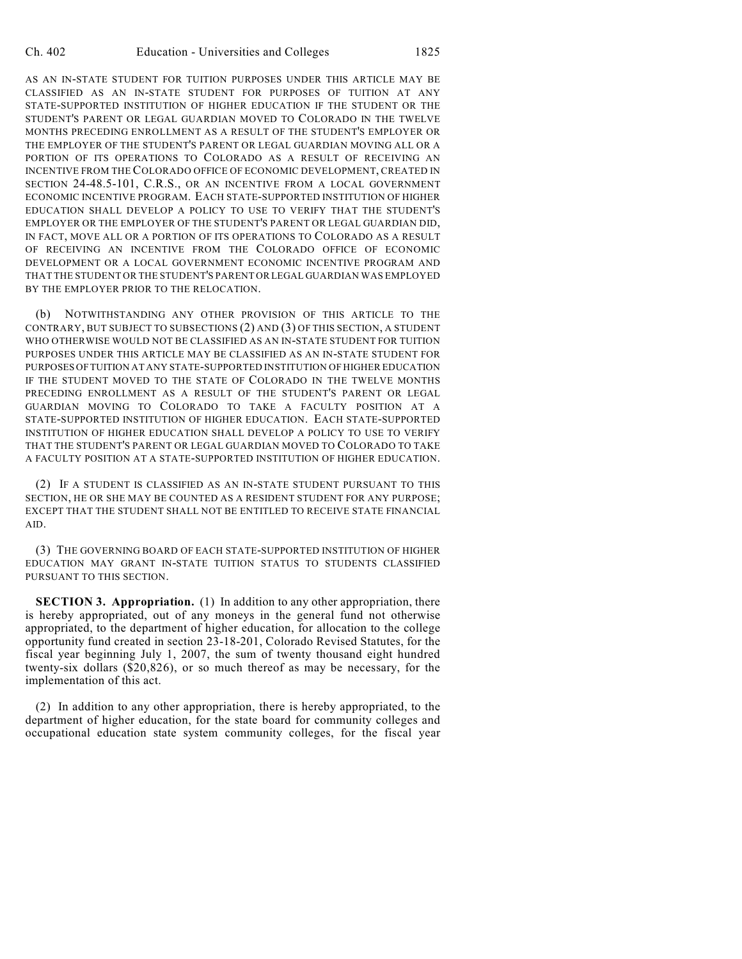AS AN IN-STATE STUDENT FOR TUITION PURPOSES UNDER THIS ARTICLE MAY BE CLASSIFIED AS AN IN-STATE STUDENT FOR PURPOSES OF TUITION AT ANY STATE-SUPPORTED INSTITUTION OF HIGHER EDUCATION IF THE STUDENT OR THE STUDENT'S PARENT OR LEGAL GUARDIAN MOVED TO COLORADO IN THE TWELVE MONTHS PRECEDING ENROLLMENT AS A RESULT OF THE STUDENT'S EMPLOYER OR THE EMPLOYER OF THE STUDENT'S PARENT OR LEGAL GUARDIAN MOVING ALL OR A PORTION OF ITS OPERATIONS TO COLORADO AS A RESULT OF RECEIVING AN INCENTIVE FROM THE COLORADO OFFICE OF ECONOMIC DEVELOPMENT, CREATED IN SECTION 24-48.5-101, C.R.S., OR AN INCENTIVE FROM A LOCAL GOVERNMENT ECONOMIC INCENTIVE PROGRAM. EACH STATE-SUPPORTED INSTITUTION OF HIGHER EDUCATION SHALL DEVELOP A POLICY TO USE TO VERIFY THAT THE STUDENT'S EMPLOYER OR THE EMPLOYER OF THE STUDENT'S PARENT OR LEGAL GUARDIAN DID, IN FACT, MOVE ALL OR A PORTION OF ITS OPERATIONS TO COLORADO AS A RESULT OF RECEIVING AN INCENTIVE FROM THE COLORADO OFFICE OF ECONOMIC DEVELOPMENT OR A LOCAL GOVERNMENT ECONOMIC INCENTIVE PROGRAM AND THAT THE STUDENT OR THE STUDENT'S PARENT OR LEGAL GUARDIAN WAS EMPLOYED BY THE EMPLOYER PRIOR TO THE RELOCATION.

(b) NOTWITHSTANDING ANY OTHER PROVISION OF THIS ARTICLE TO THE CONTRARY, BUT SUBJECT TO SUBSECTIONS (2) AND (3) OF THIS SECTION, A STUDENT WHO OTHERWISE WOULD NOT BE CLASSIFIED AS AN IN-STATE STUDENT FOR TUITION PURPOSES UNDER THIS ARTICLE MAY BE CLASSIFIED AS AN IN-STATE STUDENT FOR PURPOSES OF TUITION AT ANY STATE-SUPPORTED INSTITUTION OF HIGHER EDUCATION IF THE STUDENT MOVED TO THE STATE OF COLORADO IN THE TWELVE MONTHS PRECEDING ENROLLMENT AS A RESULT OF THE STUDENT'S PARENT OR LEGAL GUARDIAN MOVING TO COLORADO TO TAKE A FACULTY POSITION AT A STATE-SUPPORTED INSTITUTION OF HIGHER EDUCATION. EACH STATE-SUPPORTED INSTITUTION OF HIGHER EDUCATION SHALL DEVELOP A POLICY TO USE TO VERIFY THAT THE STUDENT'S PARENT OR LEGAL GUARDIAN MOVED TO COLORADO TO TAKE A FACULTY POSITION AT A STATE-SUPPORTED INSTITUTION OF HIGHER EDUCATION.

(2) IF A STUDENT IS CLASSIFIED AS AN IN-STATE STUDENT PURSUANT TO THIS SECTION, HE OR SHE MAY BE COUNTED AS A RESIDENT STUDENT FOR ANY PURPOSE; EXCEPT THAT THE STUDENT SHALL NOT BE ENTITLED TO RECEIVE STATE FINANCIAL AID.

(3) THE GOVERNING BOARD OF EACH STATE-SUPPORTED INSTITUTION OF HIGHER EDUCATION MAY GRANT IN-STATE TUITION STATUS TO STUDENTS CLASSIFIED PURSUANT TO THIS SECTION.

**SECTION 3. Appropriation.** (1) In addition to any other appropriation, there is hereby appropriated, out of any moneys in the general fund not otherwise appropriated, to the department of higher education, for allocation to the college opportunity fund created in section 23-18-201, Colorado Revised Statutes, for the fiscal year beginning July 1, 2007, the sum of twenty thousand eight hundred twenty-six dollars (\$20,826), or so much thereof as may be necessary, for the implementation of this act.

(2) In addition to any other appropriation, there is hereby appropriated, to the department of higher education, for the state board for community colleges and occupational education state system community colleges, for the fiscal year